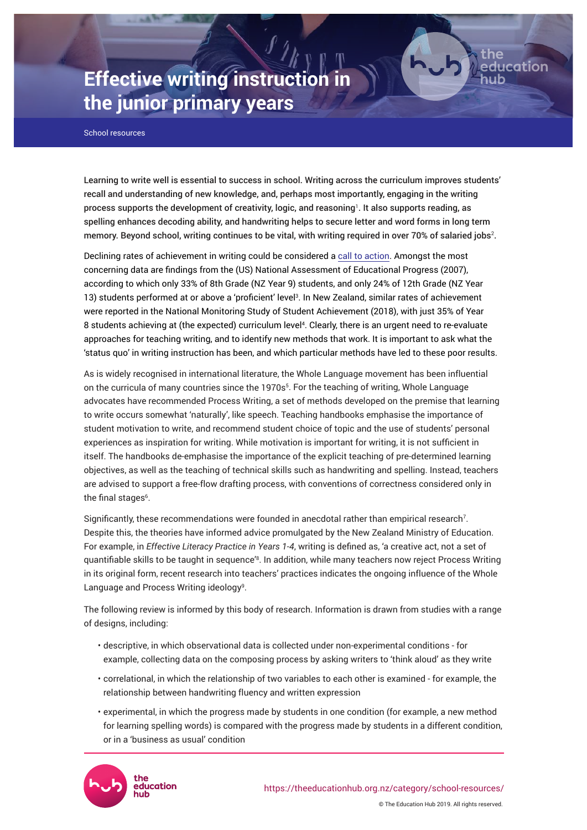# **Effective writing instruction in the junior primary years**

School resources

Learning to write well is essential to success in school. Writing across the curriculum improves students' recall and understanding of new knowledge, and, perhaps most importantly, engaging in the writing process supports the development of creativity, logic, and reasoning<sup>1</sup>. It also supports reading, as spelling enhances decoding ability, and handwriting helps to secure letter and word forms in long term memory. Beyond school, writing continues to be vital, with writing required in over 70% of salaried jobs $^{\rm 2.}$ 

ducation

Declining rates of achievement in writing could be considered a [call to action](https://theeducationhub.org.nz/now-i-dont-know-my-abc/). Amongst the most concerning data are findings from the (US) National Assessment of Educational Progress (2007), according to which only 33% of 8th Grade (NZ Year 9) students, and only 24% of 12th Grade (NZ Year 13) students performed at or above a 'proficient' level<sup>3</sup>. In New Zealand, similar rates of achievement were reported in the National Monitoring Study of Student Achievement (2018), with just 35% of Year 8 students achieving at (the expected) curriculum level<sup>4</sup> . Clearly, there is an urgent need to re-evaluate approaches for teaching writing, and to identify new methods that work. It is important to ask what the 'status quo' in writing instruction has been, and which particular methods have led to these poor results.

As is widely recognised in international literature, the Whole Language movement has been influential on the curricula of many countries since the 1970s<sup>5</sup>. For the teaching of writing, Whole Language advocates have recommended Process Writing, a set of methods developed on the premise that learning to write occurs somewhat 'naturally', like speech. Teaching handbooks emphasise the importance of student motivation to write, and recommend student choice of topic and the use of students' personal experiences as inspiration for writing. While motivation is important for writing, it is not sufficient in itself. The handbooks de-emphasise the importance of the explicit teaching of pre-determined learning objectives, as well as the teaching of technical skills such as handwriting and spelling. Instead, teachers are advised to support a free-flow drafting process, with conventions of correctness considered only in the final stages<sup>6</sup>.

Significantly, these recommendations were founded in anecdotal rather than empirical research $7$ . Despite this, the theories have informed advice promulgated by the New Zealand Ministry of Education. For example, in *Effective Literacy Practice in Years 1-4*, writing is defined as, 'a creative act, not a set of quantifiable skills to be taught in sequence'<sup>s</sup>. In addition, while many teachers now reject Process Writing in its original form, recent research into teachers' practices indicates the ongoing influence of the Whole Language and Process Writing ideology<sup>9</sup>.

The following review is informed by this body of research. Information is drawn from studies with a range of designs, including:

- descriptive, in which observational data is collected under non-experimental conditions for example, collecting data on the composing process by asking writers to 'think aloud' as they write
- correlational, in which the relationship of two variables to each other is examined for example, the relationship between handwriting fluency and written expression
- experimental, in which the progress made by students in one condition (for example, a new method for learning spelling words) is compared with the progress made by students in a different condition, or in a 'business as usual' condition

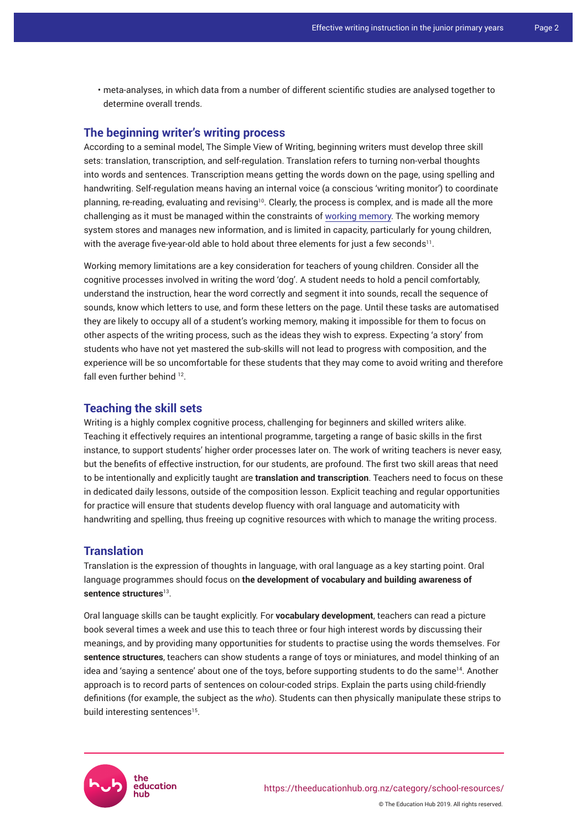• meta-analyses, in which data from a number of different scientific studies are analysed together to determine overall trends.

# **The beginning writer's writing process**

According to a seminal model, The Simple View of Writing, beginning writers must develop three skill sets: translation, transcription, and self-regulation. Translation refers to turning non-verbal thoughts into words and sentences. Transcription means getting the words down on the page, using spelling and handwriting. Self-regulation means having an internal voice (a conscious 'writing monitor') to coordinate planning, re-reading, evaluating and revising<sup>10</sup>. Clearly, the process is complex, and is made all the more challenging as it must be managed within the constraints of [working memory.](https://theeducationhub.org.nz/working-memory-and-its-role-in-teaching-and-learning/) The working memory system stores and manages new information, and is limited in capacity, particularly for young children, with the average five-year-old able to hold about three elements for just a few seconds $^{\rm 11}.$ 

Working memory limitations are a key consideration for teachers of young children. Consider all the cognitive processes involved in writing the word 'dog'. A student needs to hold a pencil comfortably, understand the instruction, hear the word correctly and segment it into sounds, recall the sequence of sounds, know which letters to use, and form these letters on the page. Until these tasks are automatised they are likely to occupy all of a student's working memory, making it impossible for them to focus on other aspects of the writing process, such as the ideas they wish to express. Expecting 'a story' from students who have not yet mastered the sub-skills will not lead to progress with composition, and the experience will be so uncomfortable for these students that they may come to avoid writing and therefore fall even further behind <sup>12</sup>.

## **Teaching the skill sets**

Writing is a highly complex cognitive process, challenging for beginners and skilled writers alike. Teaching it effectively requires an intentional programme, targeting a range of basic skills in the first instance, to support students' higher order processes later on. The work of writing teachers is never easy, but the benefits of effective instruction, for our students, are profound. The first two skill areas that need to be intentionally and explicitly taught are **translation and transcription**. Teachers need to focus on these in dedicated daily lessons, outside of the composition lesson. Explicit teaching and regular opportunities for practice will ensure that students develop fluency with oral language and automaticity with handwriting and spelling, thus freeing up cognitive resources with which to manage the writing process.

## **Translation**

Translation is the expression of thoughts in language, with oral language as a key starting point. Oral language programmes should focus on **the development of vocabulary and building awareness of sentence structures**<sup>13</sup> .

Oral language skills can be taught explicitly. For **vocabulary development**, teachers can read a picture book several times a week and use this to teach three or four high interest words by discussing their meanings, and by providing many opportunities for students to practise using the words themselves. For **sentence structures**, teachers can show students a range of toys or miniatures, and model thinking of an idea and 'saying a sentence' about one of the toys, before supporting students to do the same<sup>14</sup>. Another approach is to record parts of sentences on colour-coded strips. Explain the parts using child-friendly definitions (for example, the subject as the *who*). Students can then physically manipulate these strips to build interesting sentences<sup>15</sup>.

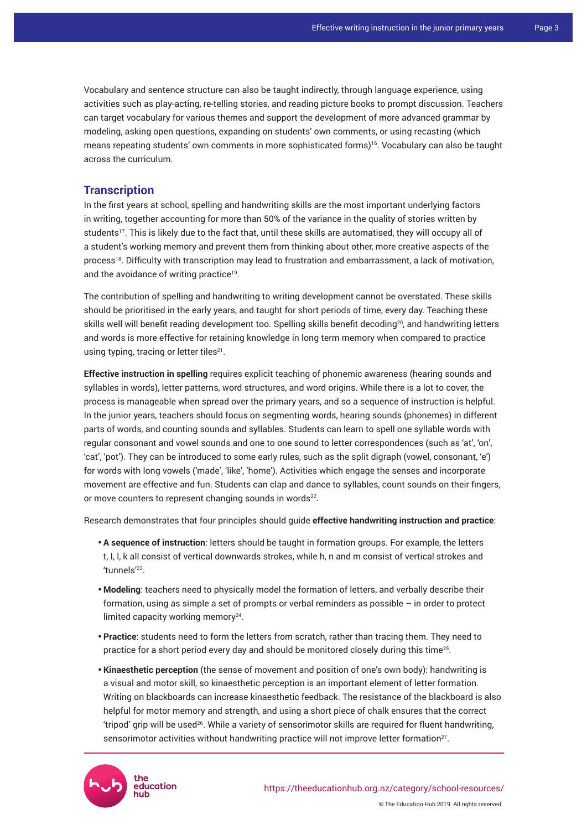Vocabulary and sentence structure can also be taught indirectly, through language experience, using activities such as play-acting, re-telling stories, and reading picture books to prompt discussion. Teachers can target vocabulary for various themes and support the development of more advanced grammar by modeling, asking open questions, expanding on students' own comments, or using recasting (which means repeating students' own comments in more sophisticated forms)16. Vocabulary can also be taught across the curriculum.

## **Transcription**

In the first years at school, spelling and handwriting skills are the most important underlying factors in writing, together accounting for more than 50% of the variance in the quality of stories written by students<sup>17</sup>. This is likely due to the fact that, until these skills are automatised, they will occupy all of a student's working memory and prevent them from thinking about other, more creative aspects of the process<sup>18</sup>. Difficulty with transcription may lead to frustration and embarrassment, a lack of motivation, and the avoidance of writing practice<sup>19</sup>.

The contribution of spelling and handwriting to writing development cannot be overstated. These skills should be prioritised in the early years, and taught for short periods of time, every day. Teaching these skills well will benefit reading development too. Spelling skills benefit decoding<sup>20</sup>, and handwriting letters and words is more effective for retaining knowledge in long term memory when compared to practice using typing, tracing or letter tiles $^{21}$ .

**Effective instruction in spelling** requires explicit teaching of phonemic awareness (hearing sounds and syllables in words), letter patterns, word structures, and word origins. While there is a lot to cover, the process is manageable when spread over the primary years, and so a sequence of instruction is helpful. In the junior years, teachers should focus on segmenting words, hearing sounds (phonemes) in different parts of words, and counting sounds and syllables. Students can learn to spell one syllable words with regular consonant and vowel sounds and one to one sound to letter correspondences (such as 'at', 'on', 'cat', 'pot'). They can be introduced to some early rules, such as the split digraph (vowel, consonant, 'e') for words with long vowels ('made', 'like', 'home'). Activities which engage the senses and incorporate movement are effective and fun. Students can clap and dance to syllables, count sounds on their fingers, or move counters to represent changing sounds in words<sup>22</sup>.

Research demonstrates that four principles should guide **effective handwriting instruction and practice**:

- A sequence of instruction: letters should be taught in formation groups. For example, the letters t, I, l, k all consist of vertical downwards strokes, while h, n and m consist of vertical strokes and 'tunnels'<sup>23</sup> .
- • **Modeling**: teachers need to physically model the formation of letters, and verbally describe their formation, using as simple a set of prompts or verbal reminders as possible – in order to protect limited capacity working memory<sup>24</sup>.
- • **Practice**: students need to form the letters from scratch, rather than tracing them. They need to practice for a short period every day and should be monitored closely during this time $^{25}$ .
- **Kinaesthetic perception** (the sense of movement and position of one's own body): handwriting is a visual and motor skill, so kinaesthetic perception is an important element of letter formation. Writing on blackboards can increase kinaesthetic feedback. The resistance of the blackboard is also helpful for motor memory and strength, and using a short piece of chalk ensures that the correct 'tripod' grip will be used26. While a variety of sensorimotor skills are required for fluent handwriting, sensorimotor activities without handwriting practice will not improve letter formation $27$ .

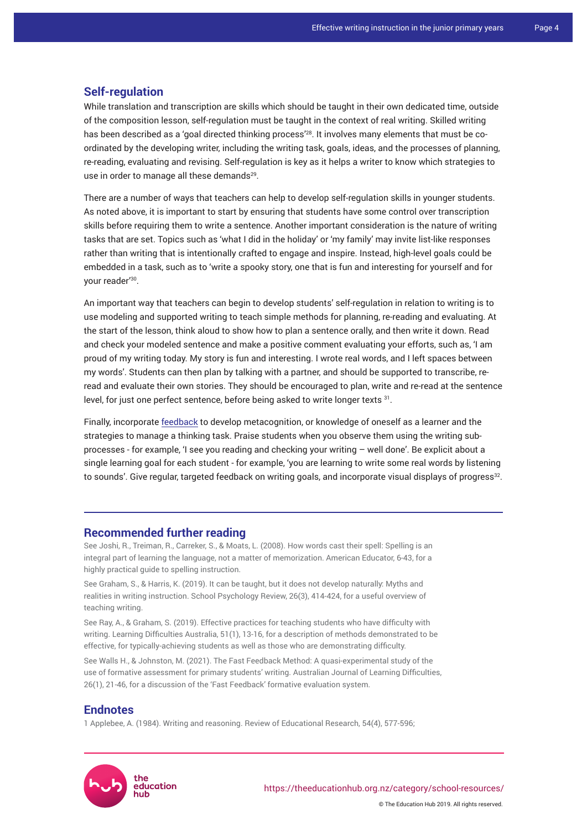### **Self-regulation**

While translation and transcription are skills which should be taught in their own dedicated time, outside of the composition lesson, self-regulation must be taught in the context of real writing. Skilled writing has been described as a 'goal directed thinking process'<sup>28</sup>. It involves many elements that must be coordinated by the developing writer, including the writing task, goals, ideas, and the processes of planning, re-reading, evaluating and revising. Self-regulation is key as it helps a writer to know which strategies to use in order to manage all these demands<sup>29</sup>.

There are a number of ways that teachers can help to develop self-regulation skills in younger students. As noted above, it is important to start by ensuring that students have some control over transcription skills before requiring them to write a sentence. Another important consideration is the nature of writing tasks that are set. Topics such as 'what I did in the holiday' or 'my family' may invite list-like responses rather than writing that is intentionally crafted to engage and inspire. Instead, high-level goals could be embedded in a task, such as to 'write a spooky story, one that is fun and interesting for yourself and for your reader'<sup>30</sup> .

An important way that teachers can begin to develop students' self-regulation in relation to writing is to use modeling and supported writing to teach simple methods for planning, re-reading and evaluating. At the start of the lesson, think aloud to show how to plan a sentence orally, and then write it down. Read and check your modeled sentence and make a positive comment evaluating your efforts, such as, 'I am proud of my writing today. My story is fun and interesting. I wrote real words, and I left spaces between my words'. Students can then plan by talking with a partner, and should be supported to transcribe, reread and evaluate their own stories. They should be encouraged to plan, write and re-read at the sentence level, for just one perfect sentence, before being asked to write longer texts <sup>31</sup> .

Finally, incorporate [feedback](https://theeducationhub.org.nz/how-to-integrate-effective-feedback-into-your-classroom/) to develop metacognition, or knowledge of oneself as a learner and the strategies to manage a thinking task. Praise students when you observe them using the writing subprocesses - for example, 'I see you reading and checking your writing – well done'. Be explicit about a single learning goal for each student - for example, 'you are learning to write some real words by listening to sounds'. Give regular, targeted feedback on writing goals, and incorporate visual displays of progress $^{\scriptstyle 32}$ .

## **Recommended further reading**

See Joshi, R., Treiman, R., Carreker, S., & Moats, L. (2008). [How words cast their spell: Spelling is an](https://www.aft.org/sites/default/files/periodicals/joshi.pdf)  [integral part of learning the language, not a matter of memorization.](https://www.aft.org/sites/default/files/periodicals/joshi.pdf) American Educator, 6-43, for a highly practical guide to spelling instruction.

See Graham, S., & Harris, K. (2019). It can be taught, but it does not develop naturally: Myths and realities in writing instruction. School Psychology Review, 26(3), 414-424, for a useful overview of teaching writing.

See Ray, A., & Graham, S. (2019). Effective practices for teaching students who have difficulty with writing. Learning Difficulties Australia, 51(1), 13-16, for a description of methods demonstrated to be effective, for typically-achieving students as well as those who are demonstrating difficulty.

See Walls H., & Johnston, M. (2021). [The Fast Feedback Method: A quasi-experimental study of the](https://www.tandfonline.com/doi/abs/10.1080/19404158.2020.1862880)  [use of formative assessment for primary students' writing](https://www.tandfonline.com/doi/abs/10.1080/19404158.2020.1862880). Australian Journal of Learning Difficulties, 26(1), 21-46, for a discussion of the 'Fast Feedback' formative evaluation system.

#### **Endnotes**

1 Applebee, A. (1984). Writing and reasoning. Review of Educational Research, 54(4), 577-596;

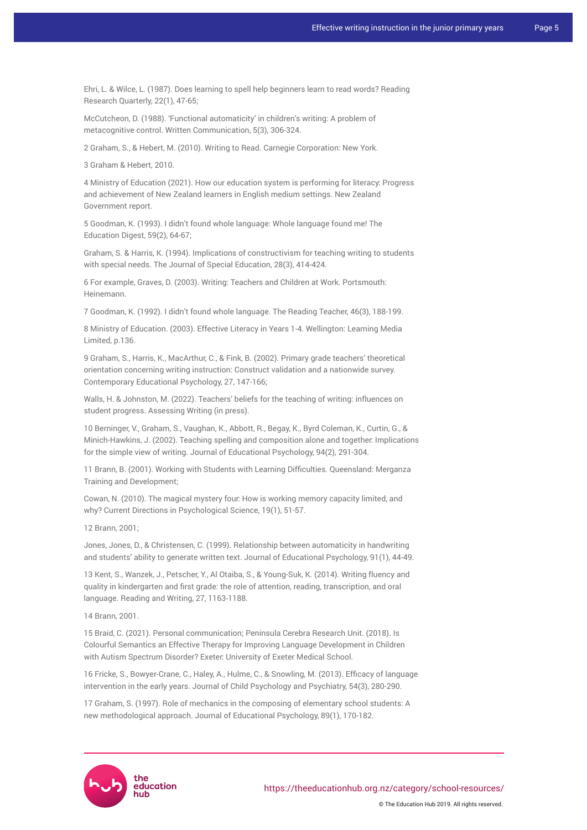Ehri, L. & Wilce, L. (1987). Does learning to spell help beginners learn to read words? Reading Research Quarterly, 22(1), 47-65;

McCutcheon, D. (1988). 'Functional automaticity' in children's writing: A problem of metacognitive control. Written Communication, 5(3), 306-324.

2 Graham, S., & Hebert, M. (2010). Writing to Read. Carnegie Corporation: New York.

3 Graham & Hebert, 2010.

4 Ministry of Education (2021). How our education system is performing for literacy: Progress and achievement of New Zealand learners in English medium settings. New Zealand Government report.

5 Goodman, K. (1993). I didn't found whole language: Whole language found me! The Education Digest, 59(2), 64-67;

Graham, S. & Harris, K. (1994). Implications of constructivism for teaching writing to students with special needs. The Journal of Special Education, 28(3), 414-424.

6 For example, Graves, D. (2003). Writing: Teachers and Children at Work. Portsmouth: Heinemann.

7 Goodman, K. (1992). I didn't found whole language. The Reading Teacher, 46(3), 188-199.

8 Ministry of Education. (2003). Effective Literacy in Years 1-4. Wellington: Learning Media Limited, p.136.

9 Graham, S., Harris, K., MacArthur, C., & Fink, B. (2002). Primary grade teachers' theoretical orientation concerning writing instruction: Construct validation and a nationwide survey. Contemporary Educational Psychology, 27, 147-166;

Walls, H. & Johnston, M. (2022). Teachers' beliefs for the teaching of writing: influences on student progress. Assessing Writing (in press).

10 Berninger, V., Graham, S., Vaughan, K., Abbott, R., Begay, K., Byrd Coleman, K., Curtin, G., & Minich-Hawkins, J. (2002). Teaching spelling and composition alone and together: Implications for the simple view of writing. Journal of Educational Psychology, 94(2), 291-304.

11 Brann, B. (2001). Working with Students with Learning Difficulties. Queensland: Merganza Training and Development;

Cowan, N. (2010). The magical mystery four: How is working memory capacity limited, and why? Current Directions in Psychological Science, 19(1), 51-57.

12 Brann, 2001;

Jones, Jones, D., & Christensen, C. (1999). Relationship between automaticity in handwriting and students' ability to generate written text. Journal of Educational Psychology, 91(1), 44-49.

13 Kent, S., Wanzek, J., Petscher, Y., Al Otaiba, S., & Young-Suk, K. (2014). Writing fluency and quality in kindergarten and first grade: the role of attention, reading, transcription, and oral language. Reading and Writing, 27, 1163-1188.

14 Brann, 2001.

15 Braid, C. (2021). Personal communication; Peninsula Cerebra Research Unit. (2018). Is Colourful Semantics an Effective Therapy for Improving Language Development in Children with Autism Spectrum Disorder? Exeter: University of Exeter Medical School.

16 Fricke, S., Bowyer-Crane, C., Haley, A., Hulme, C., & Snowling, M. (2013). Efficacy of language intervention in the early years. Journal of Child Psychology and Psychiatry, 54(3), 280-290.

17 Graham, S. (1997). Role of mechanics in the composing of elementary school students: A new methodological approach. Journal of Educational Psychology, 89(1), 170-182.